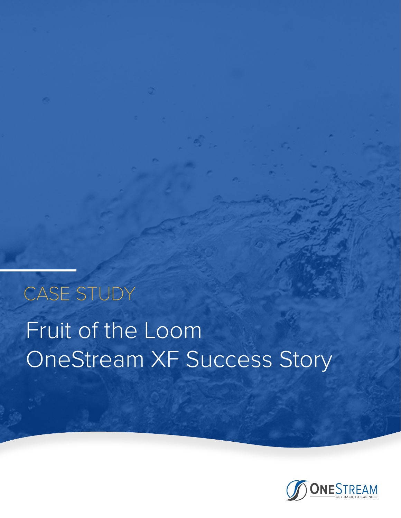# Fruit of the Loom OneStream XF Success Story CASE STUDY

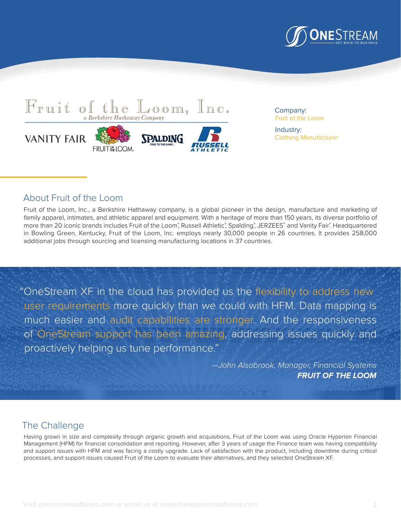



Company: Fruit of the Loom

Industry: Clothing Manufacturer

## About Fruit of the Loom

Fruit of the Loom, Inc., a Berkshire Hathaway company, is a global pioneer in the design, manufacture and marketing of family apparel, intimates, and athletic apparel and equipment. With a heritage of more than 150 years, its diverse portfolio of more than 20 iconic brands includes Fruit of the Loom°, Russell Athletic°, Spalding°, JERZEES° and Vanity Fair°. Headquartered in Bowling Green, Kentucky, Fruit of the Loom, Inc. employs nearly 30,000 people in 26 countries. It provides 258,000 additional jobs through sourcing and licensing manufacturing locations in 37 countries.

"OneStream XF in the cloud has provided us the flexibility to address new user requirements more quickly than we could with HFM. Data mapping is much easier and audit capabilities are stronger. And the responsiveness of OneStream support has been amazing, addressing issues quickly and proactively helping us tune performance."

> *—John Alsobrook, Manager, Financial Systems*  **FRUIT OF THE LOOM**

# The Challenge

Having grown in size and complexity through organic growth and acquisitions, Fruit of the Loom was using Oracle Hyperion Financial Management (HFM) for financial consolidation and reporting. However, after 3 years of usage the Finance team was having compatibility and support issues with HFM and was facing a costly upgrade. Lack of satisfaction with the product, including downtime during critical processes, and support issues caused Fruit of the Loom to evaluate their alternatives, and they selected OneStream XF.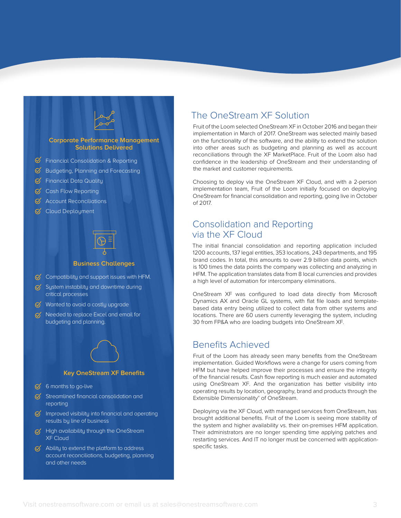

#### **Business Challenges**

- $\bigcirc$  Compatibility and support issues with HFM.
- $\heartsuit$  System instability and downtime during critical processes
- $\heartsuit$  Wanted to avoid a costly upgrade
- $\sigma$  Needed to replace Excel and email for budgeting and planning.

#### **Key OneStream XF Benefits**

- $6$  6 months to go-live
- $\mathcal G$  Streamlined financial consolidation and reporting
- $\mathcal G$  Improved visibility into financial and operating results by line of business
- $G$  High availability through the OneStream XF Cloud
- $\heartsuit$  Ability to extend the platform to address account reconciliations, budgeting, planning and other needs

### The OneStream XF Solution

Fruit of the Loom selected OneStream XF in October 2016 and began their implementation in March of 2017. OneStream was selected mainly based on the functionality of the software, and the ability to extend the solution into other areas such as budgeting and planning as well as account reconciliations through the XF MarketPlace. Fruit of the Loom also had confidence in the leadership of OneStream and their understanding of the market and customer requirements.

Choosing to deploy via the OneStream XF Cloud, and with a 2-person implementation team, Fruit of the Loom initially focused on deploying OneStream for financial consolidation and reporting, going live in October of 2017.

# Consolidation and Reporting via the XF Cloud

The initial financial consolidation and reporting application included 1200 accounts, 137 legal entities, 353 locations, 243 departments, and 195 brand codes. In total, this amounts to over 2.9 billion data points, which is 100 times the data points the company was collecting and analyzing in HFM. The application translates data from 8 local currencies and provides a high level of automation for intercompany eliminations.

OneStream XF was configured to load data directly from Microsoft Dynamics AX and Oracle GL systems, with flat file loads and templatebased data entry being utilized to collect data from other systems and locations. There are 60 users currently leveraging the system, including 30 from FP&A who are loading budgets into OneStream XF.

### Benefits Achieved

Fruit of the Loom has already seen many benefits from the OneStream implementation. Guided Workflows were a change for users coming from HFM but have helped improve their processes and ensure the integrity of the financial results. Cash flow reporting is much easier and automated using OneStream XF. And the organization has better visibility into operating results by location, geography, brand and products through the Extensible Dimensionality® of OneStream.

Deploying via the XF Cloud, with managed services from OneStream, has brought additional benefits. Fruit of the Loom is seeing more stability of the system and higher availability vs. their on-premises HFM application. Their administrators are no longer spending time applying patches and restarting services. And IT no longer must be concerned with applicationspecific tasks.